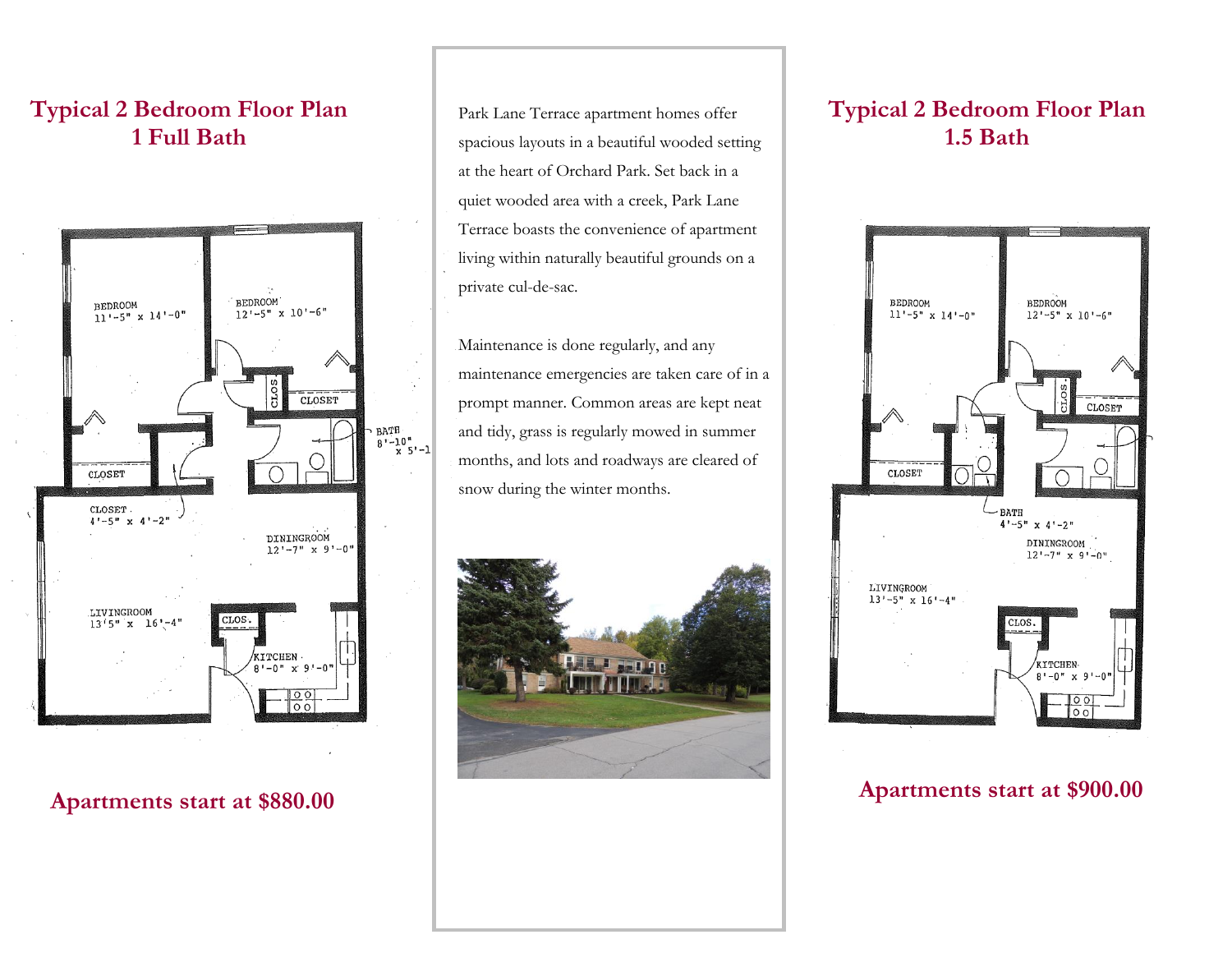## **Typical 2 Bedroom Floor Plan 1 Full Bath**



## **Apartments start at \$880.00**

Park Lane Terrace apartment homes offer spacious layouts in a beautiful wooded setting at the heart of Orchard Park. Set back in a quiet wooded area with a creek, Park Lane Terrace boasts the convenience of apartment living within naturally beautiful grounds on a private cul-de-sac.

I

Maintenance is done regularly, and any maintenance emergencies are taken care of in a prompt manner. Common areas are kept neat and tidy, grass is regularly mowed in summer months, and lots and roadways are cleared of snow during the winter months.



# **Typical 2 Bedroom Floor Plan 1.5 Bath**



### **Apartments start at \$900.00**